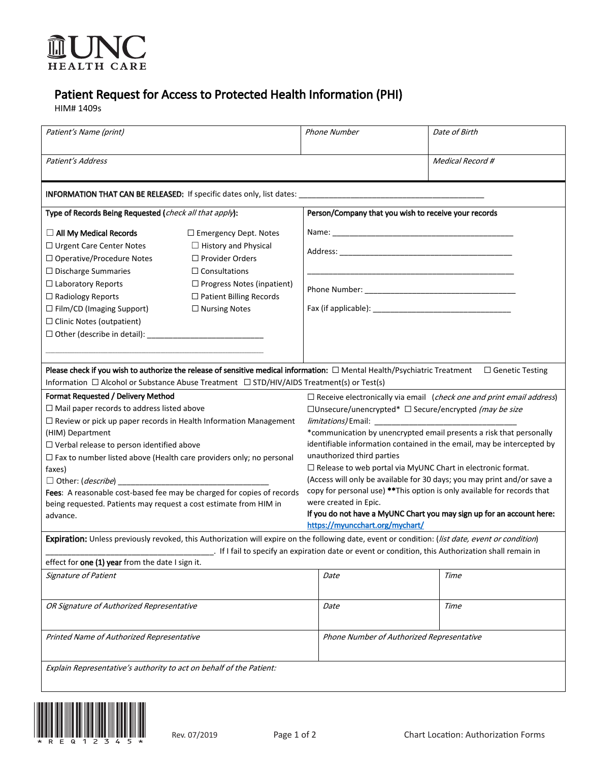

## Patient Request for Access to Protected Health Information (PHI)

HIM# 1409s

| Patient's Name (print)                                                                                                                                                                                                                                                                                                                                                                                                                                  |                                                                                                                                                                                                         | <b>Phone Number</b>                                                                                                                                                                                                                                                                                                                                                                                                                                                                                                                                                                                                   | Date of Birth    |  |
|---------------------------------------------------------------------------------------------------------------------------------------------------------------------------------------------------------------------------------------------------------------------------------------------------------------------------------------------------------------------------------------------------------------------------------------------------------|---------------------------------------------------------------------------------------------------------------------------------------------------------------------------------------------------------|-----------------------------------------------------------------------------------------------------------------------------------------------------------------------------------------------------------------------------------------------------------------------------------------------------------------------------------------------------------------------------------------------------------------------------------------------------------------------------------------------------------------------------------------------------------------------------------------------------------------------|------------------|--|
| Patient's Address                                                                                                                                                                                                                                                                                                                                                                                                                                       |                                                                                                                                                                                                         |                                                                                                                                                                                                                                                                                                                                                                                                                                                                                                                                                                                                                       | Medical Record # |  |
| INFORMATION THAT CAN BE RELEASED: If specific dates only, list dates: _                                                                                                                                                                                                                                                                                                                                                                                 |                                                                                                                                                                                                         |                                                                                                                                                                                                                                                                                                                                                                                                                                                                                                                                                                                                                       |                  |  |
| Type of Records Being Requested (check all that apply):                                                                                                                                                                                                                                                                                                                                                                                                 |                                                                                                                                                                                                         | Person/Company that you wish to receive your records                                                                                                                                                                                                                                                                                                                                                                                                                                                                                                                                                                  |                  |  |
| $\Box$ All My Medical Records<br>$\Box$ Urgent Care Center Notes<br>□ Operative/Procedure Notes<br>$\Box$ Discharge Summaries<br>$\Box$ Laboratory Reports<br>$\Box$ Radiology Reports<br>$\Box$ Film/CD (Imaging Support)<br>$\Box$ Clinic Notes (outpatient)                                                                                                                                                                                          | $\Box$ Emergency Dept. Notes<br>$\Box$ History and Physical<br>$\Box$ Provider Orders<br>$\Box$ Consultations<br>$\Box$ Progress Notes (inpatient)<br>□ Patient Billing Records<br>$\Box$ Nursing Notes |                                                                                                                                                                                                                                                                                                                                                                                                                                                                                                                                                                                                                       |                  |  |
| Please check if you wish to authorize the release of sensitive medical information: □ Mental Health/Psychiatric Treatment □ Genetic Testing<br>Information $\Box$ Alcohol or Substance Abuse Treatment $\Box$ STD/HIV/AIDS Treatment(s) or Test(s)<br>Format Requested / Delivery Method<br>$\Box$ Receive electronically via email ( <i>check one and print email address</i> )                                                                        |                                                                                                                                                                                                         |                                                                                                                                                                                                                                                                                                                                                                                                                                                                                                                                                                                                                       |                  |  |
| $\Box$ Mail paper records to address listed above<br>$\Box$ Review or pick up paper records in Health Information Management<br>(HIM) Department<br>$\Box$ Verbal release to person identified above<br>$\Box$ Fax to number listed above (Health care providers only; no personal<br>faxes)<br>Fees: A reasonable cost-based fee may be charged for copies of records<br>being requested. Patients may request a cost estimate from HIM in<br>advance. |                                                                                                                                                                                                         | $\Box$ Unsecure/unencrypted* $\Box$ Secure/encrypted (may be size<br>*communication by unencrypted email presents a risk that personally<br>identifiable information contained in the email, may be intercepted by<br>unauthorized third parties<br>$\square$ Release to web portal via MyUNC Chart in electronic format.<br>(Access will only be available for 30 days; you may print and/or save a<br>copy for personal use) ** This option is only available for records that<br>were created in Epic.<br>If you do not have a MyUNC Chart you may sign up for an account here:<br>https://myuncchart.org/mychart/ |                  |  |
| Expiration: Unless previously revoked, this Authorization will expire on the following date, event or condition: (list date, event or condition)<br>. If I fail to specify an expiration date or event or condition, this Authorization shall remain in                                                                                                                                                                                                 |                                                                                                                                                                                                         |                                                                                                                                                                                                                                                                                                                                                                                                                                                                                                                                                                                                                       |                  |  |
| effect for one (1) year from the date I sign it.                                                                                                                                                                                                                                                                                                                                                                                                        |                                                                                                                                                                                                         |                                                                                                                                                                                                                                                                                                                                                                                                                                                                                                                                                                                                                       |                  |  |
| Signature of Patient                                                                                                                                                                                                                                                                                                                                                                                                                                    |                                                                                                                                                                                                         | Date                                                                                                                                                                                                                                                                                                                                                                                                                                                                                                                                                                                                                  | Time             |  |
| OR Signature of Authorized Representative                                                                                                                                                                                                                                                                                                                                                                                                               |                                                                                                                                                                                                         | Date                                                                                                                                                                                                                                                                                                                                                                                                                                                                                                                                                                                                                  | Time             |  |
| Printed Name of Authorized Representative                                                                                                                                                                                                                                                                                                                                                                                                               |                                                                                                                                                                                                         | Phone Number of Authorized Representative                                                                                                                                                                                                                                                                                                                                                                                                                                                                                                                                                                             |                  |  |
| Explain Representative's authority to act on behalf of the Patient:                                                                                                                                                                                                                                                                                                                                                                                     |                                                                                                                                                                                                         |                                                                                                                                                                                                                                                                                                                                                                                                                                                                                                                                                                                                                       |                  |  |